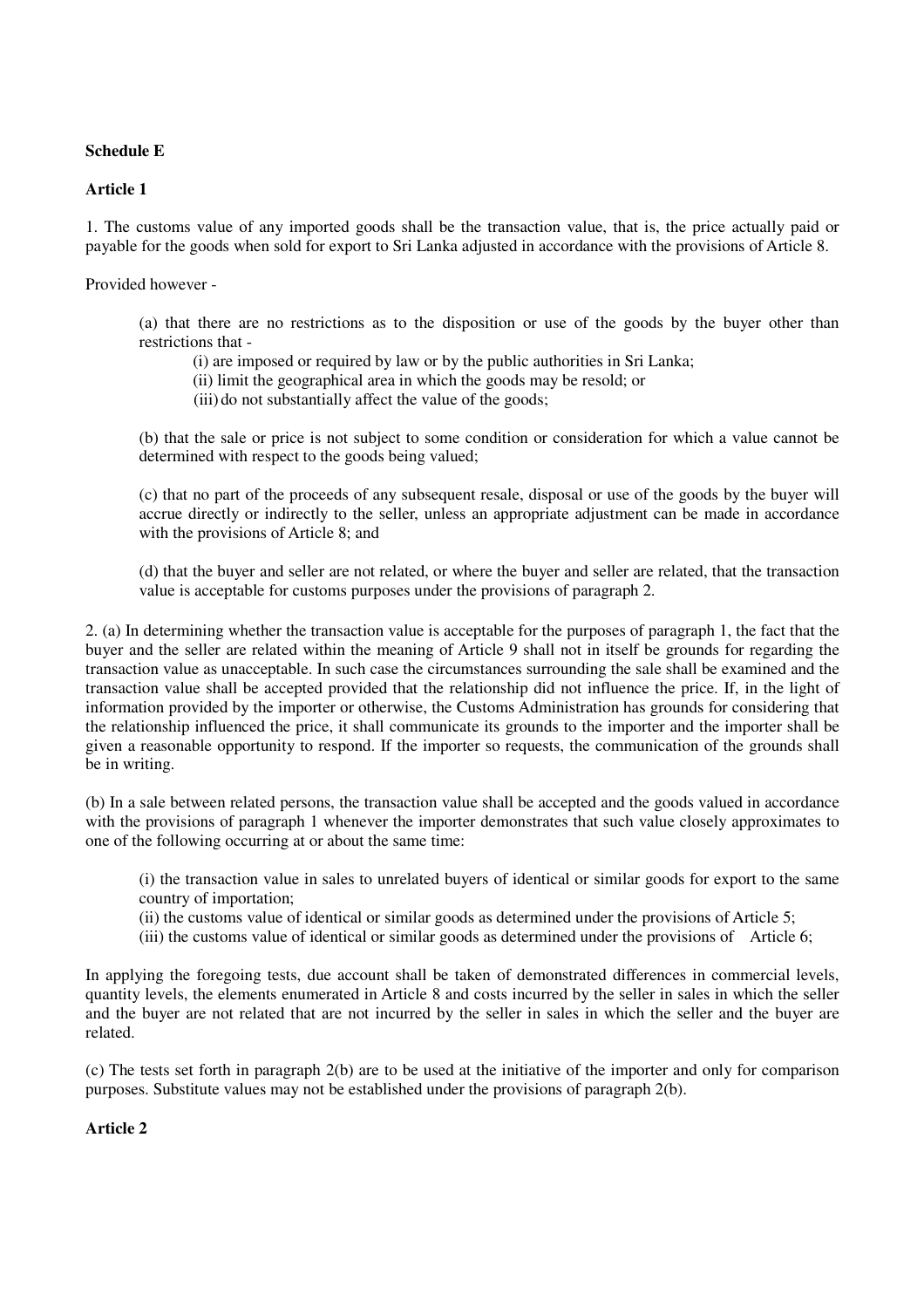### **Schedule E**

#### **Article 1**

1. The customs value of any imported goods shall be the transaction value, that is, the price actually paid or payable for the goods when sold for export to Sri Lanka adjusted in accordance with the provisions of Article 8.

Provided however -

(a) that there are no restrictions as to the disposition or use of the goods by the buyer other than restrictions that -

- (i) are imposed or required by law or by the public authorities in Sri Lanka;
- (ii) limit the geographical area in which the goods may be resold; or
- (iii) do not substantially affect the value of the goods;

(b) that the sale or price is not subject to some condition or consideration for which a value cannot be determined with respect to the goods being valued;

(c) that no part of the proceeds of any subsequent resale, disposal or use of the goods by the buyer will accrue directly or indirectly to the seller, unless an appropriate adjustment can be made in accordance with the provisions of Article 8; and

(d) that the buyer and seller are not related, or where the buyer and seller are related, that the transaction value is acceptable for customs purposes under the provisions of paragraph 2.

2. (a) In determining whether the transaction value is acceptable for the purposes of paragraph 1, the fact that the buyer and the seller are related within the meaning of Article 9 shall not in itself be grounds for regarding the transaction value as unacceptable. In such case the circumstances surrounding the sale shall be examined and the transaction value shall be accepted provided that the relationship did not influence the price. If, in the light of information provided by the importer or otherwise, the Customs Administration has grounds for considering that the relationship influenced the price, it shall communicate its grounds to the importer and the importer shall be given a reasonable opportunity to respond. If the importer so requests, the communication of the grounds shall be in writing.

(b) In a sale between related persons, the transaction value shall be accepted and the goods valued in accordance with the provisions of paragraph 1 whenever the importer demonstrates that such value closely approximates to one of the following occurring at or about the same time:

(i) the transaction value in sales to unrelated buyers of identical or similar goods for export to the same country of importation;

- (ii) the customs value of identical or similar goods as determined under the provisions of Article 5;
- (iii) the customs value of identical or similar goods as determined under the provisions of Article 6;

In applying the foregoing tests, due account shall be taken of demonstrated differences in commercial levels, quantity levels, the elements enumerated in Article 8 and costs incurred by the seller in sales in which the seller and the buyer are not related that are not incurred by the seller in sales in which the seller and the buyer are related.

(c) The tests set forth in paragraph 2(b) are to be used at the initiative of the importer and only for comparison purposes. Substitute values may not be established under the provisions of paragraph 2(b).

## **Article 2**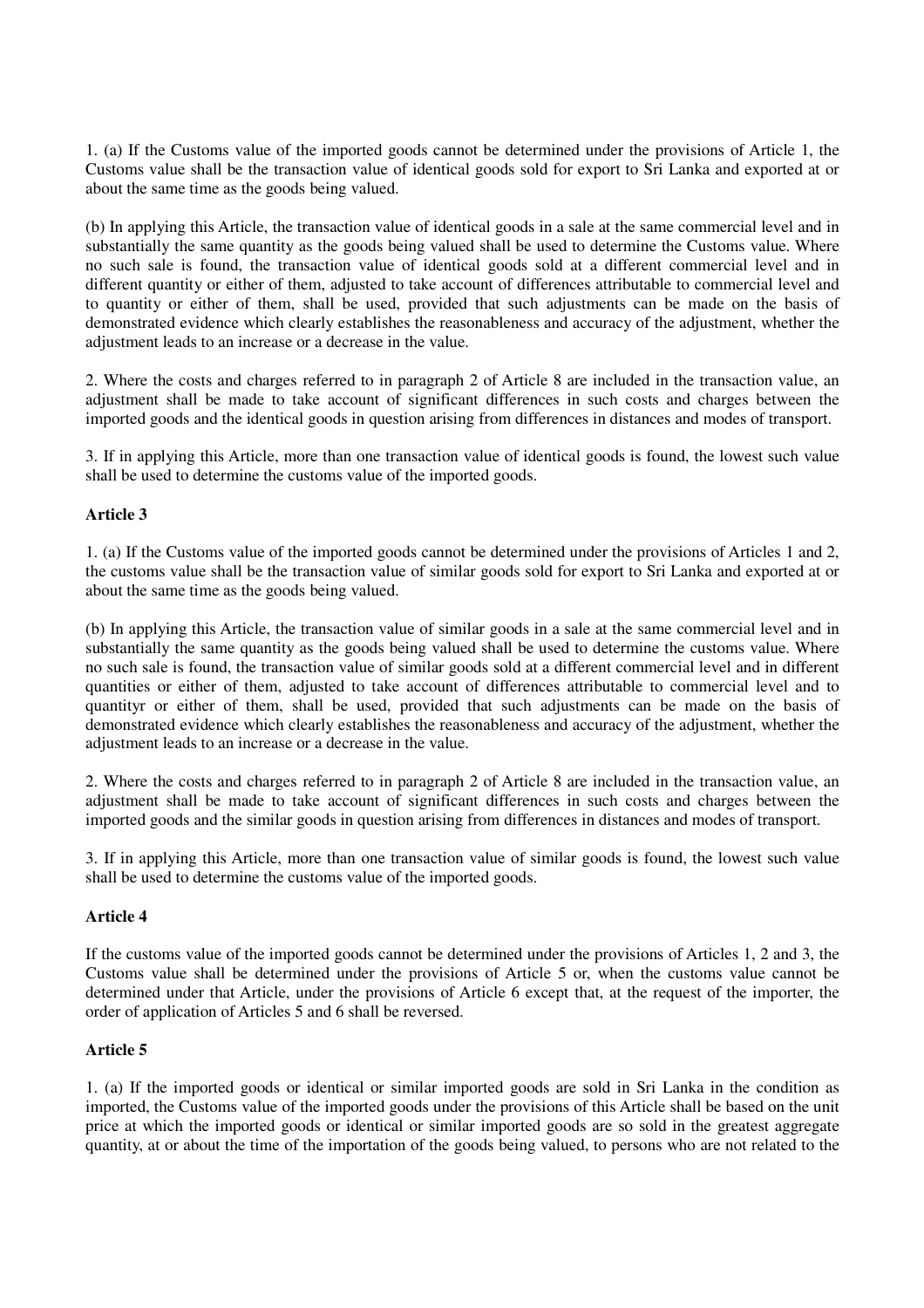1. (a) If the Customs value of the imported goods cannot be determined under the provisions of Article 1, the Customs value shall be the transaction value of identical goods sold for export to Sri Lanka and exported at or about the same time as the goods being valued.

(b) In applying this Article, the transaction value of identical goods in a sale at the same commercial level and in substantially the same quantity as the goods being valued shall be used to determine the Customs value. Where no such sale is found, the transaction value of identical goods sold at a different commercial level and in different quantity or either of them, adjusted to take account of differences attributable to commercial level and to quantity or either of them, shall be used, provided that such adjustments can be made on the basis of demonstrated evidence which clearly establishes the reasonableness and accuracy of the adjustment, whether the adjustment leads to an increase or a decrease in the value.

2. Where the costs and charges referred to in paragraph 2 of Article 8 are included in the transaction value, an adjustment shall be made to take account of significant differences in such costs and charges between the imported goods and the identical goods in question arising from differences in distances and modes of transport.

3. If in applying this Article, more than one transaction value of identical goods is found, the lowest such value shall be used to determine the customs value of the imported goods.

# **Article 3**

1. (a) If the Customs value of the imported goods cannot be determined under the provisions of Articles 1 and 2, the customs value shall be the transaction value of similar goods sold for export to Sri Lanka and exported at or about the same time as the goods being valued.

(b) In applying this Article, the transaction value of similar goods in a sale at the same commercial level and in substantially the same quantity as the goods being valued shall be used to determine the customs value. Where no such sale is found, the transaction value of similar goods sold at a different commercial level and in different quantities or either of them, adjusted to take account of differences attributable to commercial level and to quantityr or either of them, shall be used, provided that such adjustments can be made on the basis of demonstrated evidence which clearly establishes the reasonableness and accuracy of the adjustment, whether the adjustment leads to an increase or a decrease in the value.

2. Where the costs and charges referred to in paragraph 2 of Article 8 are included in the transaction value, an adjustment shall be made to take account of significant differences in such costs and charges between the imported goods and the similar goods in question arising from differences in distances and modes of transport.

3. If in applying this Article, more than one transaction value of similar goods is found, the lowest such value shall be used to determine the customs value of the imported goods.

### **Article 4**

If the customs value of the imported goods cannot be determined under the provisions of Articles 1, 2 and 3, the Customs value shall be determined under the provisions of Article 5 or, when the customs value cannot be determined under that Article, under the provisions of Article 6 except that, at the request of the importer, the order of application of Articles 5 and 6 shall be reversed.

### **Article 5**

1. (a) If the imported goods or identical or similar imported goods are sold in Sri Lanka in the condition as imported, the Customs value of the imported goods under the provisions of this Article shall be based on the unit price at which the imported goods or identical or similar imported goods are so sold in the greatest aggregate quantity, at or about the time of the importation of the goods being valued, to persons who are not related to the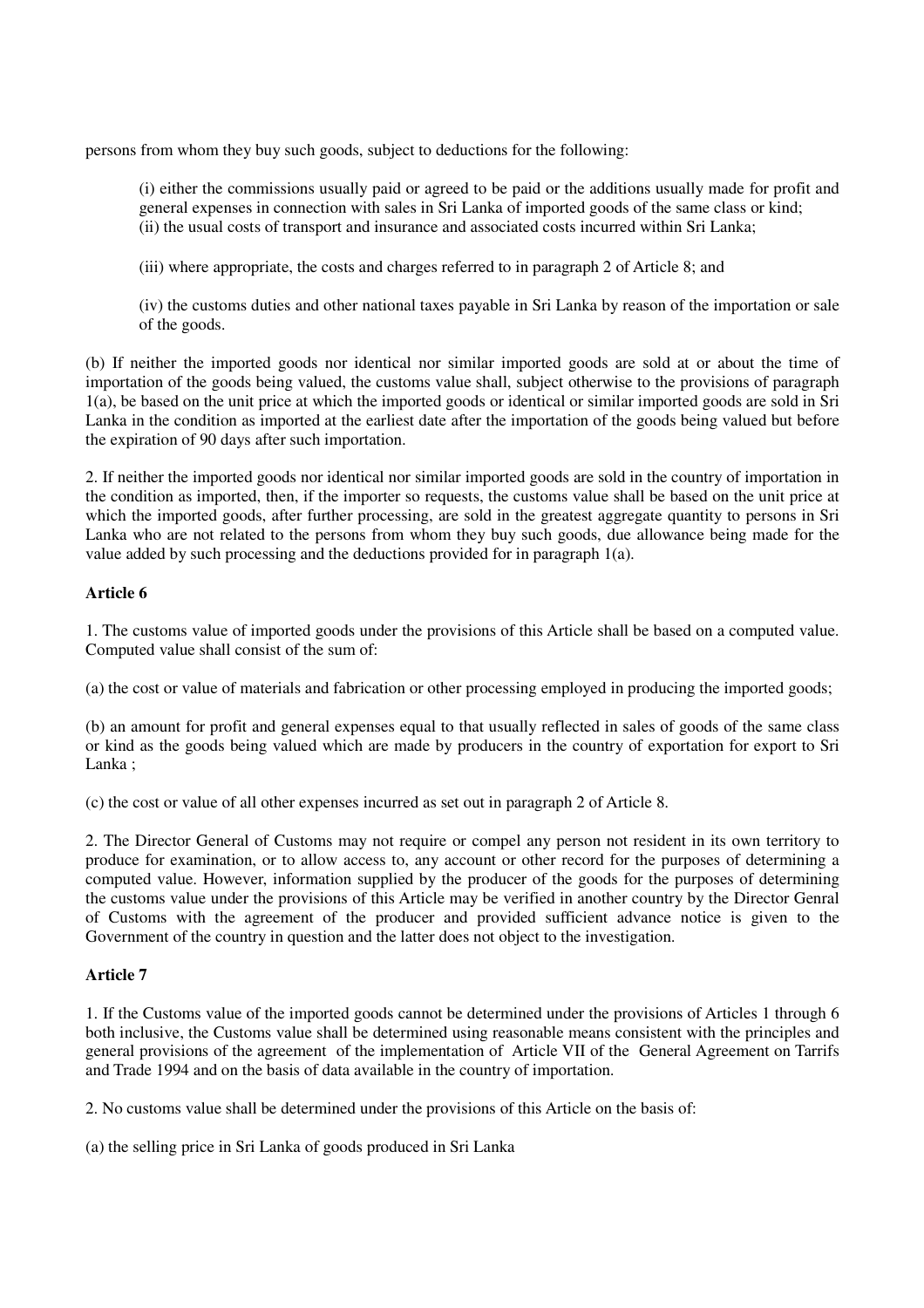persons from whom they buy such goods, subject to deductions for the following:

(i) either the commissions usually paid or agreed to be paid or the additions usually made for profit and general expenses in connection with sales in Sri Lanka of imported goods of the same class or kind; (ii) the usual costs of transport and insurance and associated costs incurred within Sri Lanka;

(iii) where appropriate, the costs and charges referred to in paragraph 2 of Article 8; and

(iv) the customs duties and other national taxes payable in Sri Lanka by reason of the importation or sale of the goods.

(b) If neither the imported goods nor identical nor similar imported goods are sold at or about the time of importation of the goods being valued, the customs value shall, subject otherwise to the provisions of paragraph 1(a), be based on the unit price at which the imported goods or identical or similar imported goods are sold in Sri Lanka in the condition as imported at the earliest date after the importation of the goods being valued but before the expiration of 90 days after such importation.

2. If neither the imported goods nor identical nor similar imported goods are sold in the country of importation in the condition as imported, then, if the importer so requests, the customs value shall be based on the unit price at which the imported goods, after further processing, are sold in the greatest aggregate quantity to persons in Sri Lanka who are not related to the persons from whom they buy such goods, due allowance being made for the value added by such processing and the deductions provided for in paragraph 1(a).

### **Article 6**

1. The customs value of imported goods under the provisions of this Article shall be based on a computed value. Computed value shall consist of the sum of:

(a) the cost or value of materials and fabrication or other processing employed in producing the imported goods;

(b) an amount for profit and general expenses equal to that usually reflected in sales of goods of the same class or kind as the goods being valued which are made by producers in the country of exportation for export to Sri Lanka ;

(c) the cost or value of all other expenses incurred as set out in paragraph 2 of Article 8.

2. The Director General of Customs may not require or compel any person not resident in its own territory to produce for examination, or to allow access to, any account or other record for the purposes of determining a computed value. However, information supplied by the producer of the goods for the purposes of determining the customs value under the provisions of this Article may be verified in another country by the Director Genral of Customs with the agreement of the producer and provided sufficient advance notice is given to the Government of the country in question and the latter does not object to the investigation.

### **Article 7**

1. If the Customs value of the imported goods cannot be determined under the provisions of Articles 1 through 6 both inclusive, the Customs value shall be determined using reasonable means consistent with the principles and general provisions of the agreement of the implementation of Article VII of the General Agreement on Tarrifs and Trade 1994 and on the basis of data available in the country of importation.

2. No customs value shall be determined under the provisions of this Article on the basis of:

(a) the selling price in Sri Lanka of goods produced in Sri Lanka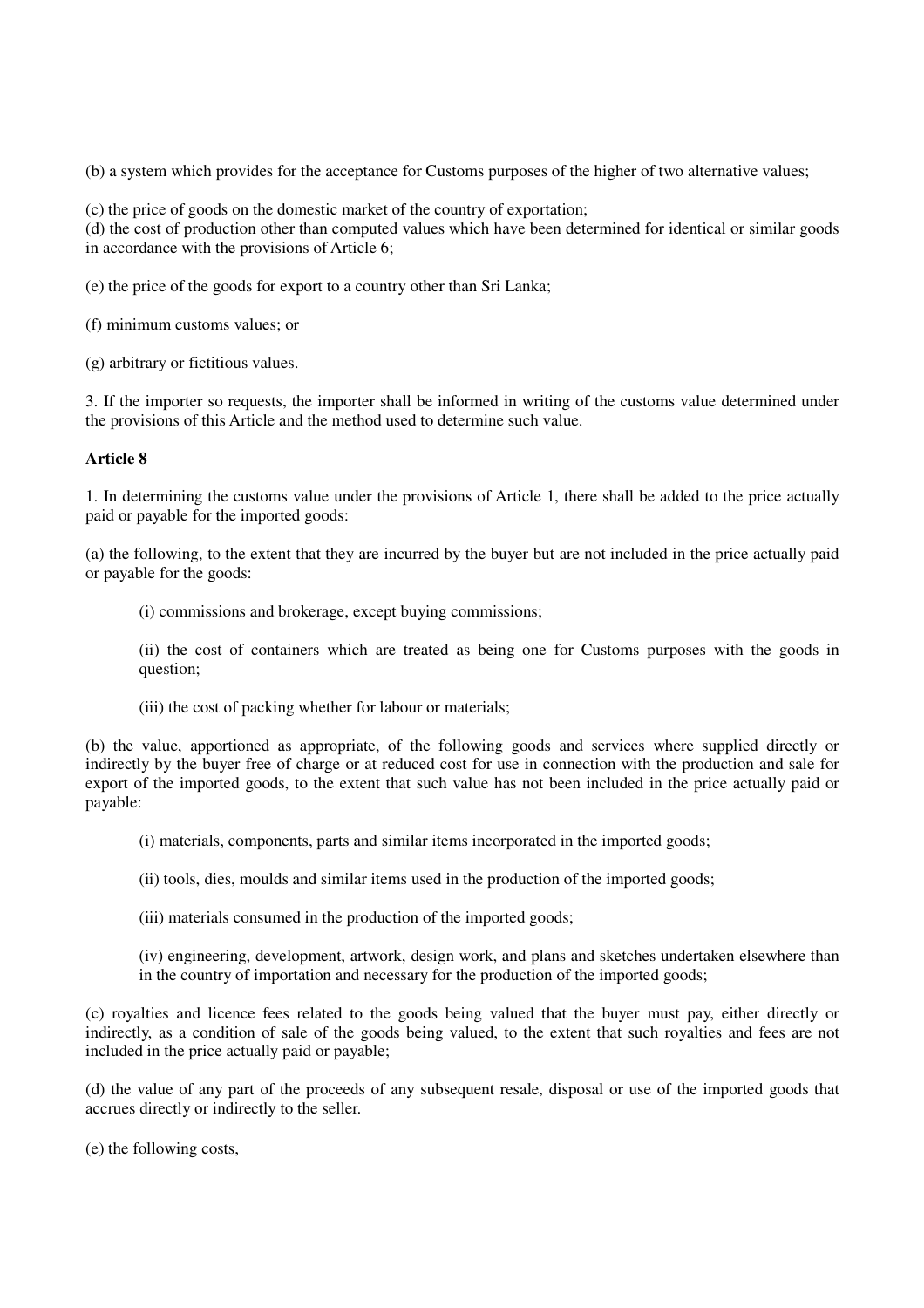(b) a system which provides for the acceptance for Customs purposes of the higher of two alternative values;

(c) the price of goods on the domestic market of the country of exportation;

(d) the cost of production other than computed values which have been determined for identical or similar goods in accordance with the provisions of Article 6;

(e) the price of the goods for export to a country other than Sri Lanka;

(f) minimum customs values; or

(g) arbitrary or fictitious values.

3. If the importer so requests, the importer shall be informed in writing of the customs value determined under the provisions of this Article and the method used to determine such value.

### **Article 8**

1. In determining the customs value under the provisions of Article 1, there shall be added to the price actually paid or payable for the imported goods:

(a) the following, to the extent that they are incurred by the buyer but are not included in the price actually paid or payable for the goods:

(i) commissions and brokerage, except buying commissions;

(ii) the cost of containers which are treated as being one for Customs purposes with the goods in question;

(iii) the cost of packing whether for labour or materials;

(b) the value, apportioned as appropriate, of the following goods and services where supplied directly or indirectly by the buyer free of charge or at reduced cost for use in connection with the production and sale for export of the imported goods, to the extent that such value has not been included in the price actually paid or payable:

(i) materials, components, parts and similar items incorporated in the imported goods;

(ii) tools, dies, moulds and similar items used in the production of the imported goods;

(iii) materials consumed in the production of the imported goods;

(iv) engineering, development, artwork, design work, and plans and sketches undertaken elsewhere than in the country of importation and necessary for the production of the imported goods;

(c) royalties and licence fees related to the goods being valued that the buyer must pay, either directly or indirectly, as a condition of sale of the goods being valued, to the extent that such royalties and fees are not included in the price actually paid or payable;

(d) the value of any part of the proceeds of any subsequent resale, disposal or use of the imported goods that accrues directly or indirectly to the seller.

(e) the following costs,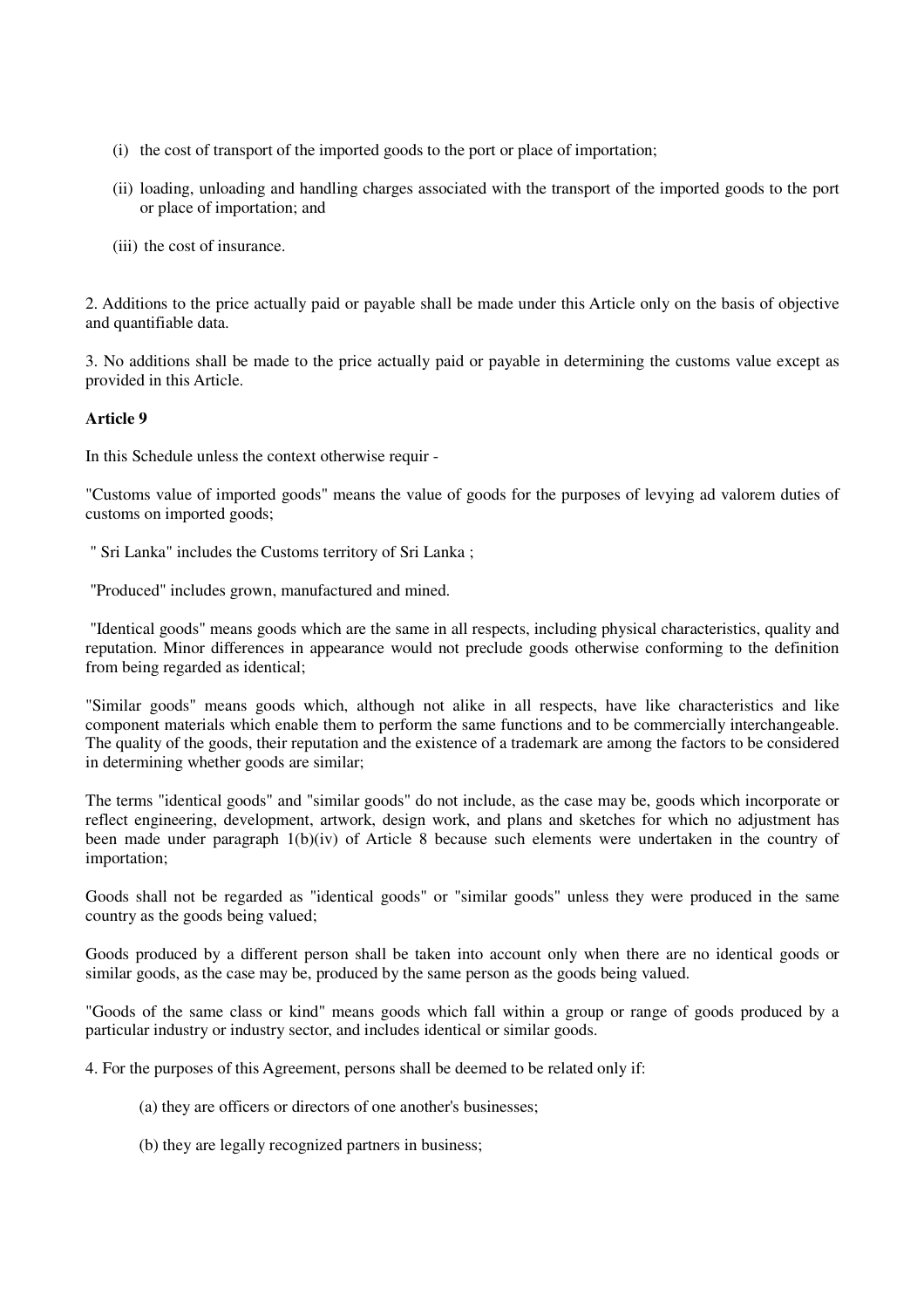- (i) the cost of transport of the imported goods to the port or place of importation;
- (ii) loading, unloading and handling charges associated with the transport of the imported goods to the port or place of importation; and
- (iii) the cost of insurance.

2. Additions to the price actually paid or payable shall be made under this Article only on the basis of objective and quantifiable data.

3. No additions shall be made to the price actually paid or payable in determining the customs value except as provided in this Article.

### **Article 9**

In this Schedule unless the context otherwise requir -

"Customs value of imported goods" means the value of goods for the purposes of levying ad valorem duties of customs on imported goods;

" Sri Lanka" includes the Customs territory of Sri Lanka ;

"Produced" includes grown, manufactured and mined.

 "Identical goods" means goods which are the same in all respects, including physical characteristics, quality and reputation. Minor differences in appearance would not preclude goods otherwise conforming to the definition from being regarded as identical;

"Similar goods" means goods which, although not alike in all respects, have like characteristics and like component materials which enable them to perform the same functions and to be commercially interchangeable. The quality of the goods, their reputation and the existence of a trademark are among the factors to be considered in determining whether goods are similar;

The terms "identical goods" and "similar goods" do not include, as the case may be, goods which incorporate or reflect engineering, development, artwork, design work, and plans and sketches for which no adjustment has been made under paragraph 1(b)(iv) of Article 8 because such elements were undertaken in the country of importation;

Goods shall not be regarded as "identical goods" or "similar goods" unless they were produced in the same country as the goods being valued;

Goods produced by a different person shall be taken into account only when there are no identical goods or similar goods, as the case may be, produced by the same person as the goods being valued.

"Goods of the same class or kind" means goods which fall within a group or range of goods produced by a particular industry or industry sector, and includes identical or similar goods.

4. For the purposes of this Agreement, persons shall be deemed to be related only if:

- (a) they are officers or directors of one another's businesses;
- (b) they are legally recognized partners in business;